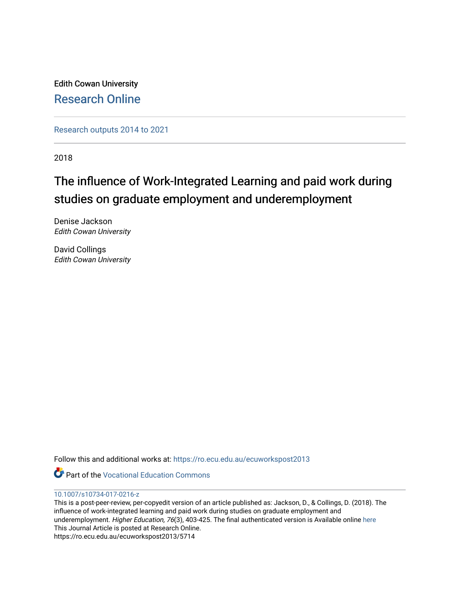Edith Cowan University [Research Online](https://ro.ecu.edu.au/) 

[Research outputs 2014 to 2021](https://ro.ecu.edu.au/ecuworkspost2013) 

2018

# The influence of Work-Integrated Learning and paid work during studies on graduate employment and underemployment

Denise Jackson Edith Cowan University

David Collings Edith Cowan University

Follow this and additional works at: [https://ro.ecu.edu.au/ecuworkspost2013](https://ro.ecu.edu.au/ecuworkspost2013?utm_source=ro.ecu.edu.au%2Fecuworkspost2013%2F5714&utm_medium=PDF&utm_campaign=PDFCoverPages) 

Part of the [Vocational Education Commons](http://network.bepress.com/hgg/discipline/1369?utm_source=ro.ecu.edu.au%2Fecuworkspost2013%2F5714&utm_medium=PDF&utm_campaign=PDFCoverPages) 

# [10.1007/s10734-017-0216-z](http://dx.doi.org/10.1007/s10734-017-0216-z)

This is a post-peer-review, per-copyedit version of an article published as: Jackson, D., & Collings, D. (2018). The influence of work-integrated learning and paid work during studies on graduate employment and underemployment. Higher Education, 76(3), 403-425. The final authenticated version is Available online [here](https://doi.org/10.1007/s10734-017-0216-z)  This Journal Article is posted at Research Online. https://ro.ecu.edu.au/ecuworkspost2013/5714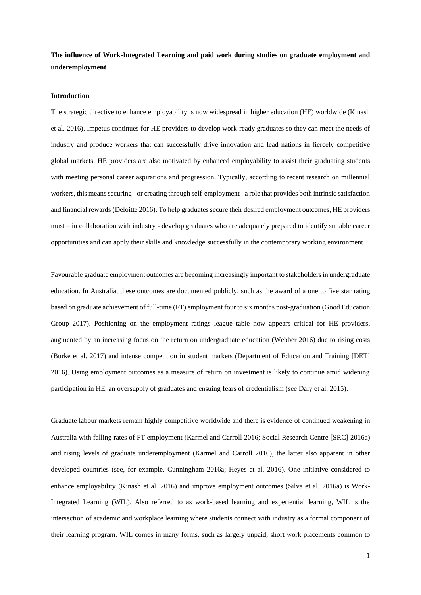**The influence of Work-Integrated Learning and paid work during studies on graduate employment and underemployment**

#### **Introduction**

The strategic directive to enhance employability is now widespread in higher education (HE) worldwide (Kinash et al. 2016). Impetus continues for HE providers to develop work-ready graduates so they can meet the needs of industry and produce workers that can successfully drive innovation and lead nations in fiercely competitive global markets. HE providers are also motivated by enhanced employability to assist their graduating students with meeting personal career aspirations and progression. Typically, according to recent research on millennial workers, this means securing - or creating through self-employment - a role that provides both intrinsic satisfaction and financial rewards (Deloitte 2016). To help graduates secure their desired employment outcomes, HE providers must – in collaboration with industry - develop graduates who are adequately prepared to identify suitable career opportunities and can apply their skills and knowledge successfully in the contemporary working environment.

Favourable graduate employment outcomes are becoming increasingly important to stakeholders in undergraduate education. In Australia, these outcomes are documented publicly, such as the award of a one to five star rating based on graduate achievement of full-time (FT) employment four to six months post-graduation (Good Education Group 2017). Positioning on the employment ratings league table now appears critical for HE providers, augmented by an increasing focus on the return on undergraduate education (Webber 2016) due to rising costs (Burke et al. 2017) and intense competition in student markets (Department of Education and Training [DET] 2016). Using employment outcomes as a measure of return on investment is likely to continue amid widening participation in HE, an oversupply of graduates and ensuing fears of credentialism (see Daly et al. 2015).

Graduate labour markets remain highly competitive worldwide and there is evidence of continued weakening in Australia with falling rates of FT employment (Karmel and Carroll 2016; Social Research Centre [SRC] 2016a) and rising levels of graduate underemployment (Karmel and Carroll 2016), the latter also apparent in other developed countries (see, for example, Cunningham 2016a; Heyes et al. 2016). One initiative considered to enhance employability (Kinash et al. 2016) and improve employment outcomes (Silva et al. 2016a) is Work-Integrated Learning (WIL). Also referred to as work-based learning and experiential learning, WIL is the intersection of academic and workplace learning where students connect with industry as a formal component of their learning program. WIL comes in many forms, such as largely unpaid, short work placements common to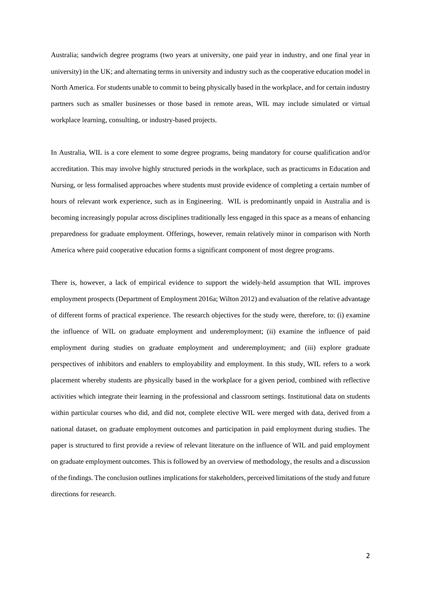Australia; sandwich degree programs (two years at university, one paid year in industry, and one final year in university) in the UK; and alternating terms in university and industry such as the cooperative education model in North America. For students unable to commit to being physically based in the workplace, and for certain industry partners such as smaller businesses or those based in remote areas, WIL may include simulated or virtual workplace learning, consulting, or industry-based projects.

In Australia, WIL is a core element to some degree programs, being mandatory for course qualification and/or accreditation. This may involve highly structured periods in the workplace, such as practicums in Education and Nursing, or less formalised approaches where students must provide evidence of completing a certain number of hours of relevant work experience, such as in Engineering. WIL is predominantly unpaid in Australia and is becoming increasingly popular across disciplines traditionally less engaged in this space as a means of enhancing preparedness for graduate employment. Offerings, however, remain relatively minor in comparison with North America where paid cooperative education forms a significant component of most degree programs.

There is, however, a lack of empirical evidence to support the widely-held assumption that WIL improves employment prospects (Department of Employment 2016a; Wilton 2012) and evaluation of the relative advantage of different forms of practical experience. The research objectives for the study were, therefore, to: (i) examine the influence of WIL on graduate employment and underemployment; (ii) examine the influence of paid employment during studies on graduate employment and underemployment; and (iii) explore graduate perspectives of inhibitors and enablers to employability and employment. In this study, WIL refers to a work placement whereby students are physically based in the workplace for a given period, combined with reflective activities which integrate their learning in the professional and classroom settings. Institutional data on students within particular courses who did, and did not, complete elective WIL were merged with data, derived from a national dataset, on graduate employment outcomes and participation in paid employment during studies. The paper is structured to first provide a review of relevant literature on the influence of WIL and paid employment on graduate employment outcomes. This is followed by an overview of methodology, the results and a discussion of the findings. The conclusion outlines implications for stakeholders, perceived limitations of the study and future directions for research.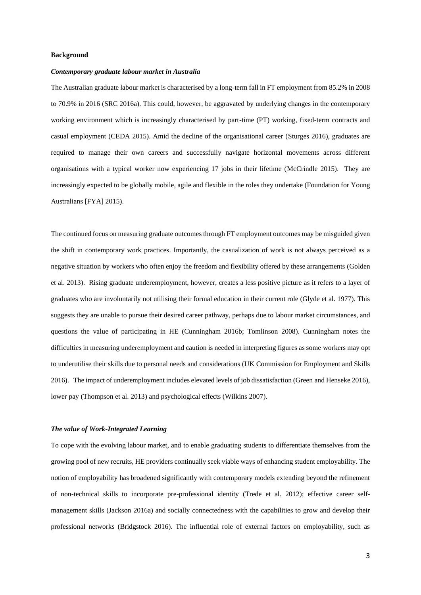#### **Background**

#### *Contemporary graduate labour market in Australia*

The Australian graduate labour market is characterised by a long-term fall in FT employment from 85.2% in 2008 to 70.9% in 2016 (SRC 2016a). This could, however, be aggravated by underlying changes in the contemporary working environment which is increasingly characterised by part-time (PT) working, fixed-term contracts and casual employment (CEDA 2015). Amid the decline of the organisational career (Sturges 2016), graduates are required to manage their own careers and successfully navigate horizontal movements across different organisations with a typical worker now experiencing 17 jobs in their lifetime (McCrindle 2015). They are increasingly expected to be globally mobile, agile and flexible in the roles they undertake (Foundation for Young Australians [FYA] 2015).

The continued focus on measuring graduate outcomes through FT employment outcomes may be misguided given the shift in contemporary work practices. Importantly, the casualization of work is not always perceived as a negative situation by workers who often enjoy the freedom and flexibility offered by these arrangements (Golden et al. 2013). Rising graduate underemployment, however, creates a less positive picture as it refers to a layer of graduates who are involuntarily not utilising their formal education in their current role (Glyde et al. 1977). This suggests they are unable to pursue their desired career pathway, perhaps due to labour market circumstances, and questions the value of participating in HE (Cunningham 2016b; Tomlinson 2008). Cunningham notes the difficulties in measuring underemployment and caution is needed in interpreting figures as some workers may opt to underutilise their skills due to personal needs and considerations (UK Commission for Employment and Skills 2016). The impact of underemployment includes elevated levels of job dissatisfaction (Green and Henseke 2016), lower pay (Thompson et al. 2013) and psychological effects (Wilkins 2007).

# *The value of Work-Integrated Learning*

To cope with the evolving labour market, and to enable graduating students to differentiate themselves from the growing pool of new recruits, HE providers continually seek viable ways of enhancing student employability. The notion of employability has broadened significantly with contemporary models extending beyond the refinement of non-technical skills to incorporate pre-professional identity (Trede et al. 2012); effective career selfmanagement skills (Jackson 2016a) and socially connectedness with the capabilities to grow and develop their professional networks (Bridgstock 2016). The influential role of external factors on employability, such as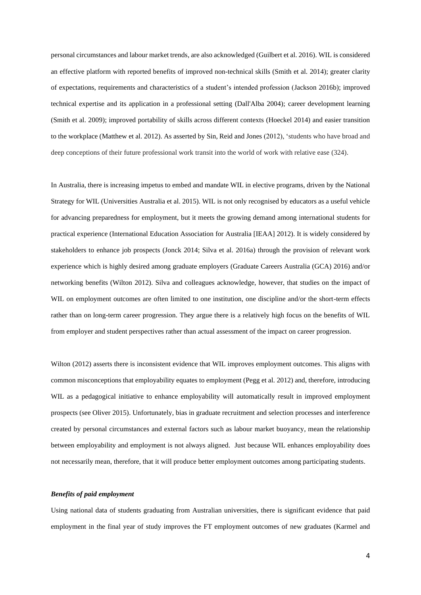personal circumstances and labour market trends, are also acknowledged (Guilbert et al. 2016). WIL is considered an effective platform with reported benefits of improved non-technical skills (Smith et al. 2014); greater clarity of expectations, requirements and characteristics of a student's intended profession (Jackson 2016b); improved technical expertise and its application in a professional setting (Dall'Alba 2004); career development learning (Smith et al. 2009); improved portability of skills across different contexts (Hoeckel 2014) and easier transition to the workplace (Matthew et al. 2012). As asserted by Sin, Reid and Jones (2012), 'students who have broad and deep conceptions of their future professional work transit into the world of work with relative ease (324).

In Australia, there is increasing impetus to embed and mandate WIL in elective programs, driven by the National Strategy for WIL (Universities Australia et al. 2015). WIL is not only recognised by educators as a useful vehicle for advancing preparedness for employment, but it meets the growing demand among international students for practical experience (International Education Association for Australia [IEAA] 2012). It is widely considered by stakeholders to enhance job prospects (Jonck 2014; Silva et al. 2016a) through the provision of relevant work experience which is highly desired among graduate employers (Graduate Careers Australia (GCA) 2016) and/or networking benefits (Wilton 2012). Silva and colleagues acknowledge, however, that studies on the impact of WIL on employment outcomes are often limited to one institution, one discipline and/or the short-term effects rather than on long-term career progression. They argue there is a relatively high focus on the benefits of WIL from employer and student perspectives rather than actual assessment of the impact on career progression.

Wilton (2012) asserts there is inconsistent evidence that WIL improves employment outcomes. This aligns with common misconceptions that employability equates to employment (Pegg et al. 2012) and, therefore, introducing WIL as a pedagogical initiative to enhance employability will automatically result in improved employment prospects (see Oliver 2015). Unfortunately, bias in graduate recruitment and selection processes and interference created by personal circumstances and external factors such as labour market buoyancy, mean the relationship between employability and employment is not always aligned. Just because WIL enhances employability does not necessarily mean, therefore, that it will produce better employment outcomes among participating students.

#### *Benefits of paid employment*

Using national data of students graduating from Australian universities, there is significant evidence that paid employment in the final year of study improves the FT employment outcomes of new graduates (Karmel and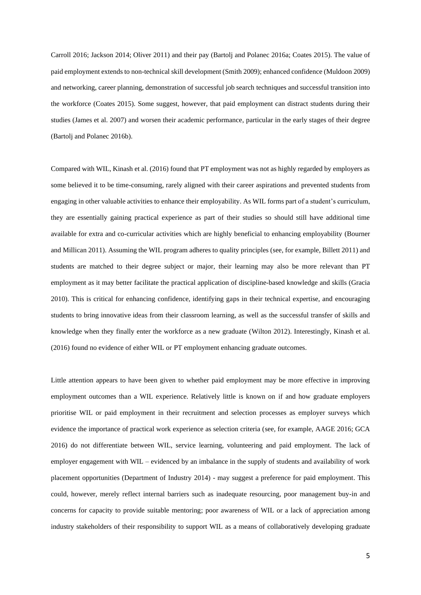Carroll 2016; Jackson 2014; Oliver 2011) and their pay (Bartolj and Polanec 2016a; Coates 2015). The value of paid employment extends to non-technical skill development (Smith 2009); enhanced confidence (Muldoon 2009) and networking, career planning, demonstration of successful job search techniques and successful transition into the workforce (Coates 2015). Some suggest, however, that paid employment can distract students during their studies (James et al. 2007) and worsen their academic performance, particular in the early stages of their degree (Bartolj and Polanec 2016b).

Compared with WIL, Kinash et al. (2016) found that PT employment was not as highly regarded by employers as some believed it to be time-consuming, rarely aligned with their career aspirations and prevented students from engaging in other valuable activities to enhance their employability. As WIL forms part of a student's curriculum, they are essentially gaining practical experience as part of their studies so should still have additional time available for extra and co-curricular activities which are highly beneficial to enhancing employability (Bourner and Millican 2011). Assuming the WIL program adheres to quality principles (see, for example, Billett 2011) and students are matched to their degree subject or major, their learning may also be more relevant than PT employment as it may better facilitate the practical application of discipline-based knowledge and skills (Gracia 2010). This is critical for enhancing confidence, identifying gaps in their technical expertise, and encouraging students to bring innovative ideas from their classroom learning, as well as the successful transfer of skills and knowledge when they finally enter the workforce as a new graduate (Wilton 2012). Interestingly, Kinash et al. (2016) found no evidence of either WIL or PT employment enhancing graduate outcomes.

Little attention appears to have been given to whether paid employment may be more effective in improving employment outcomes than a WIL experience. Relatively little is known on if and how graduate employers prioritise WIL or paid employment in their recruitment and selection processes as employer surveys which evidence the importance of practical work experience as selection criteria (see, for example, AAGE 2016; GCA 2016) do not differentiate between WIL, service learning, volunteering and paid employment. The lack of employer engagement with WIL – evidenced by an imbalance in the supply of students and availability of work placement opportunities (Department of Industry 2014) - may suggest a preference for paid employment. This could, however, merely reflect internal barriers such as inadequate resourcing, poor management buy-in and concerns for capacity to provide suitable mentoring; poor awareness of WIL or a lack of appreciation among industry stakeholders of their responsibility to support WIL as a means of collaboratively developing graduate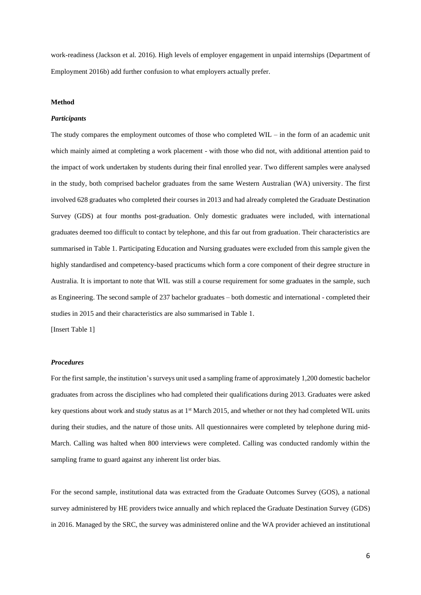work-readiness (Jackson et al. 2016). High levels of employer engagement in unpaid internships (Department of Employment 2016b) add further confusion to what employers actually prefer.

#### **Method**

#### *Participants*

The study compares the employment outcomes of those who completed WIL – in the form of an academic unit which mainly aimed at completing a work placement - with those who did not, with additional attention paid to the impact of work undertaken by students during their final enrolled year. Two different samples were analysed in the study, both comprised bachelor graduates from the same Western Australian (WA) university. The first involved 628 graduates who completed their courses in 2013 and had already completed the Graduate Destination Survey (GDS) at four months post-graduation. Only domestic graduates were included, with international graduates deemed too difficult to contact by telephone, and this far out from graduation. Their characteristics are summarised in Table 1. Participating Education and Nursing graduates were excluded from this sample given the highly standardised and competency-based practicums which form a core component of their degree structure in Australia. It is important to note that WIL was still a course requirement for some graduates in the sample, such as Engineering. The second sample of 237 bachelor graduates – both domestic and international - completed their studies in 2015 and their characteristics are also summarised in Table 1.

[Insert Table 1]

#### *Procedures*

For the first sample, the institution's surveys unit used a sampling frame of approximately 1,200 domestic bachelor graduates from across the disciplines who had completed their qualifications during 2013. Graduates were asked key questions about work and study status as at 1<sup>st</sup> March 2015, and whether or not they had completed WIL units during their studies, and the nature of those units. All questionnaires were completed by telephone during mid-March. Calling was halted when 800 interviews were completed. Calling was conducted randomly within the sampling frame to guard against any inherent list order bias.

For the second sample, institutional data was extracted from the Graduate Outcomes Survey (GOS), a national survey administered by HE providers twice annually and which replaced the Graduate Destination Survey (GDS) in 2016. Managed by the SRC, the survey was administered online and the WA provider achieved an institutional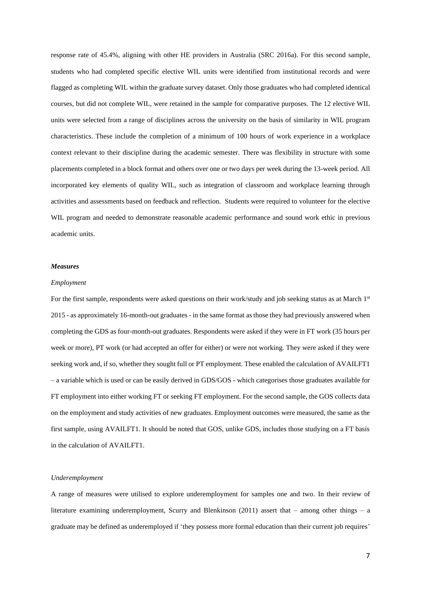response rate of 45.4%, aligning with other HE providers in Australia (SRC 2016a). For this second sample, students who had completed specific elective WIL units were identified from institutional records and were flagged as completing WIL within the graduate survey dataset. Only those graduates who had completed identical courses, but did not complete WIL, were retained in the sample for comparative purposes. The 12 elective WIL units were selected from a range of disciplines across the university on the basis of similarity in WIL program characteristics. These include the completion of a minimum of 100 hours of work experience in a workplace context relevant to their discipline during the academic semester. There was flexibility in structure with some placements completed in a block format and others over one or two days per week during the 13-week period. All incorporated key elements of quality WIL, such as integration of classroom and workplace learning through activities and assessments based on feedback and reflection. Students were required to volunteer for the elective WIL program and needed to demonstrate reasonable academic performance and sound work ethic in previous academic units.

#### *Measures*

#### *Employment*

For the first sample, respondents were asked questions on their work/study and job seeking status as at March 1st 2015 - as approximately 16-month-out graduates - in the same format as those they had previously answered when completing the GDS as four-month-out graduates. Respondents were asked if they were in FT work (35 hours per week or more), PT work (or had accepted an offer for either) or were not working. They were asked if they were seeking work and, if so, whether they sought full or PT employment. These enabled the calculation of AVAILFT1 – a variable which is used or can be easily derived in GDS/GOS - which categorises those graduates available for FT employment into either working FT or seeking FT employment. For the second sample, the GOS collects data on the employment and study activities of new graduates. Employment outcomes were measured, the same as the first sample, using AVAILFT1. It should be noted that GOS, unlike GDS, includes those studying on a FT basis in the calculation of AVAILFT1.

#### *Underemployment*

A range of measures were utilised to explore underemployment for samples one and two. In their review of literature examining underemployment, Scurry and Blenkinson (2011) assert that – among other things – a graduate may be defined as underemployed if 'they possess more formal education than their current job requires'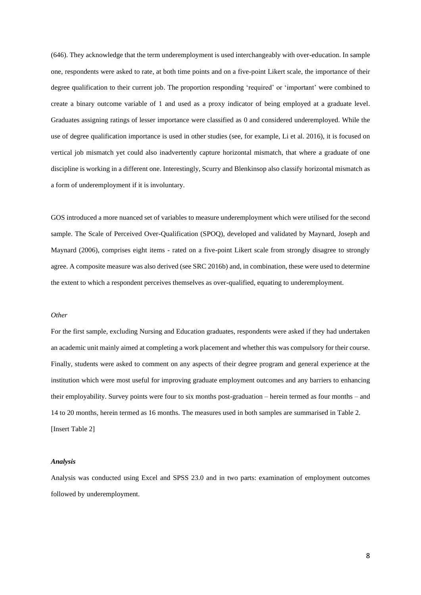(646). They acknowledge that the term underemployment is used interchangeably with over-education. In sample one, respondents were asked to rate, at both time points and on a five-point Likert scale, the importance of their degree qualification to their current job. The proportion responding 'required' or 'important' were combined to create a binary outcome variable of 1 and used as a proxy indicator of being employed at a graduate level. Graduates assigning ratings of lesser importance were classified as 0 and considered underemployed. While the use of degree qualification importance is used in other studies (see, for example, Li et al. 2016), it is focused on vertical job mismatch yet could also inadvertently capture horizontal mismatch, that where a graduate of one discipline is working in a different one. Interestingly, Scurry and Blenkinsop also classify horizontal mismatch as a form of underemployment if it is involuntary.

GOS introduced a more nuanced set of variables to measure underemployment which were utilised for the second sample. The Scale of Perceived Over-Qualification (SPOQ), developed and validated by Maynard, Joseph and Maynard (2006), comprises eight items - rated on a five-point Likert scale from strongly disagree to strongly agree. A composite measure was also derived (see SRC 2016b) and, in combination, these were used to determine the extent to which a respondent perceives themselves as over-qualified, equating to underemployment.

#### *Other*

For the first sample, excluding Nursing and Education graduates, respondents were asked if they had undertaken an academic unit mainly aimed at completing a work placement and whether this was compulsory for their course. Finally, students were asked to comment on any aspects of their degree program and general experience at the institution which were most useful for improving graduate employment outcomes and any barriers to enhancing their employability. Survey points were four to six months post-graduation – herein termed as four months – and 14 to 20 months, herein termed as 16 months. The measures used in both samples are summarised in Table 2. [Insert Table 2]

#### *Analysis*

Analysis was conducted using Excel and SPSS 23.0 and in two parts: examination of employment outcomes followed by underemployment.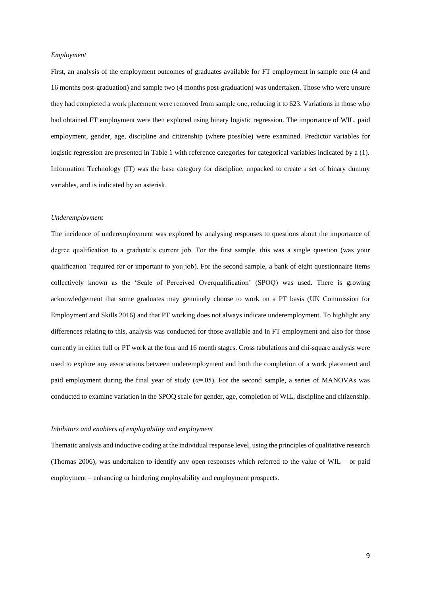#### *Employment*

First, an analysis of the employment outcomes of graduates available for FT employment in sample one (4 and 16 months post-graduation) and sample two (4 months post-graduation) was undertaken. Those who were unsure they had completed a work placement were removed from sample one, reducing it to 623. Variations in those who had obtained FT employment were then explored using binary logistic regression. The importance of WIL, paid employment, gender, age, discipline and citizenship (where possible) were examined. Predictor variables for logistic regression are presented in Table 1 with reference categories for categorical variables indicated by a (1). Information Technology (IT) was the base category for discipline, unpacked to create a set of binary dummy variables, and is indicated by an asterisk.

#### *Underemployment*

The incidence of underemployment was explored by analysing responses to questions about the importance of degree qualification to a graduate's current job. For the first sample, this was a single question (was your qualification 'required for or important to you job). For the second sample, a bank of eight questionnaire items collectively known as the 'Scale of Perceived Overqualification' (SPOQ) was used. There is growing acknowledgement that some graduates may genuinely choose to work on a PT basis (UK Commission for Employment and Skills 2016) and that PT working does not always indicate underemployment. To highlight any differences relating to this, analysis was conducted for those available and in FT employment and also for those currently in either full or PT work at the four and 16 month stages. Cross tabulations and chi-square analysis were used to explore any associations between underemployment and both the completion of a work placement and paid employment during the final year of study ( $\alpha$ =.05). For the second sample, a series of MANOVAs was conducted to examine variation in the SPOQ scale for gender, age, completion of WIL, discipline and citizenship.

#### *Inhibitors and enablers of employability and employment*

Thematic analysis and inductive coding at the individual response level, using the principles of qualitative research (Thomas 2006), was undertaken to identify any open responses which referred to the value of WIL – or paid employment – enhancing or hindering employability and employment prospects.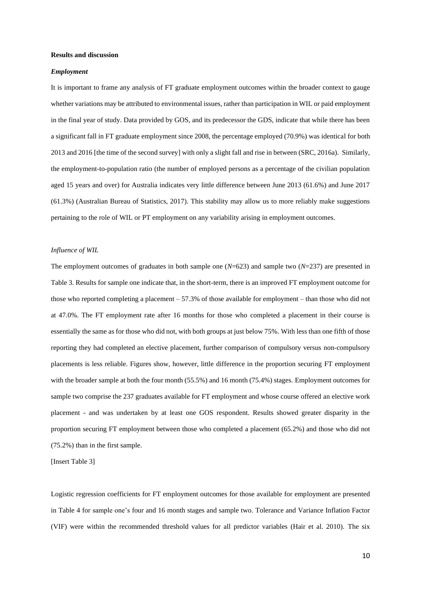#### **Results and discussion**

#### *Employment*

It is important to frame any analysis of FT graduate employment outcomes within the broader context to gauge whether variations may be attributed to environmental issues, rather than participation in WIL or paid employment in the final year of study. Data provided by GOS, and its predecessor the GDS, indicate that while there has been a significant fall in FT graduate employment since 2008, the percentage employed (70.9%) was identical for both 2013 and 2016 [the time of the second survey] with only a slight fall and rise in between (SRC, 2016a). Similarly, the employment-to-population ratio (the number of employed persons as a percentage of the civilian population aged 15 years and over) for Australia indicates very little difference between June 2013 (61.6%) and June 2017 (61.3%) (Australian Bureau of Statistics, 2017). This stability may allow us to more reliably make suggestions pertaining to the role of WIL or PT employment on any variability arising in employment outcomes.

# *Influence of WIL*

The employment outcomes of graduates in both sample one (*N*=623) and sample two (*N*=237) are presented in Table 3. Results for sample one indicate that, in the short-term, there is an improved FT employment outcome for those who reported completing a placement – 57.3% of those available for employment – than those who did not at 47.0%. The FT employment rate after 16 months for those who completed a placement in their course is essentially the same as for those who did not, with both groups at just below 75%. With less than one fifth of those reporting they had completed an elective placement, further comparison of compulsory versus non-compulsory placements is less reliable. Figures show, however, little difference in the proportion securing FT employment with the broader sample at both the four month (55.5%) and 16 month (75.4%) stages. Employment outcomes for sample two comprise the 237 graduates available for FT employment and whose course offered an elective work placement - and was undertaken by at least one GOS respondent. Results showed greater disparity in the proportion securing FT employment between those who completed a placement (65.2%) and those who did not (75.2%) than in the first sample.

[Insert Table 3]

Logistic regression coefficients for FT employment outcomes for those available for employment are presented in Table 4 for sample one's four and 16 month stages and sample two. Tolerance and Variance Inflation Factor (VIF) were within the recommended threshold values for all predictor variables (Hair et al. 2010). The six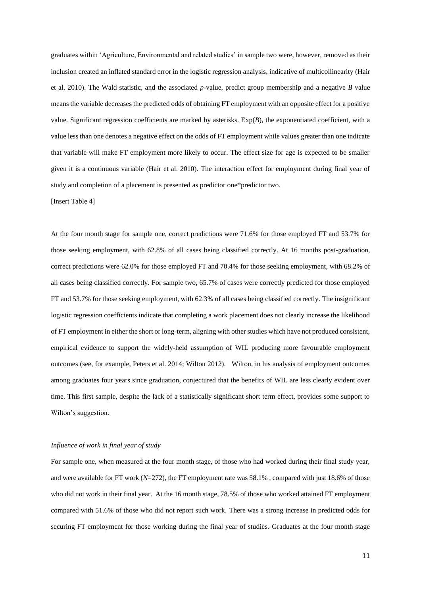graduates within 'Agriculture, Environmental and related studies' in sample two were, however, removed as their inclusion created an inflated standard error in the logistic regression analysis, indicative of multicollinearity (Hair et al. 2010). The Wald statistic, and the associated *p*-value, predict group membership and a negative *B* value means the variable decreases the predicted odds of obtaining FT employment with an opposite effect for a positive value. Significant regression coefficients are marked by asterisks. Exp(*B*), the exponentiated coefficient, with a value less than one denotes a negative effect on the odds of FT employment while values greater than one indicate that variable will make FT employment more likely to occur. The effect size for age is expected to be smaller given it is a continuous variable (Hair et al. 2010). The interaction effect for employment during final year of study and completion of a placement is presented as predictor one\*predictor two.

[Insert Table 4]

At the four month stage for sample one, correct predictions were 71.6% for those employed FT and 53.7% for those seeking employment, with 62.8% of all cases being classified correctly. At 16 months post-graduation, correct predictions were 62.0% for those employed FT and 70.4% for those seeking employment, with 68.2% of all cases being classified correctly. For sample two, 65.7% of cases were correctly predicted for those employed FT and 53.7% for those seeking employment, with 62.3% of all cases being classified correctly. The insignificant logistic regression coefficients indicate that completing a work placement does not clearly increase the likelihood of FT employment in either the short or long-term, aligning with other studies which have not produced consistent, empirical evidence to support the widely-held assumption of WIL producing more favourable employment outcomes (see, for example, Peters et al. 2014; Wilton 2012). Wilton, in his analysis of employment outcomes among graduates four years since graduation, conjectured that the benefits of WIL are less clearly evident over time. This first sample, despite the lack of a statistically significant short term effect, provides some support to Wilton's suggestion.

## *Influence of work in final year of study*

For sample one, when measured at the four month stage, of those who had worked during their final study year, and were available for FT work (*N*=272), the FT employment rate was 58.1% , compared with just 18.6% of those who did not work in their final year. At the 16 month stage, 78.5% of those who worked attained FT employment compared with 51.6% of those who did not report such work. There was a strong increase in predicted odds for securing FT employment for those working during the final year of studies. Graduates at the four month stage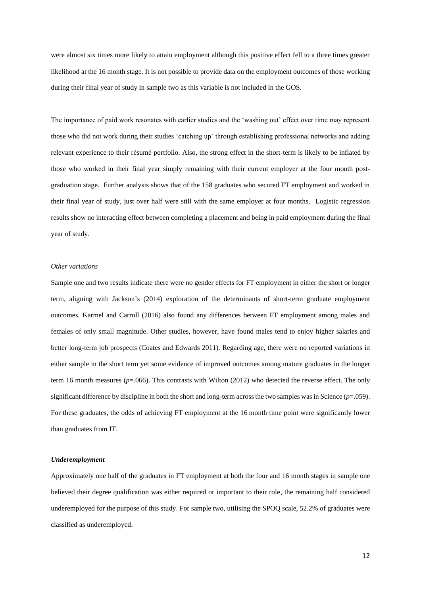were almost six times more likely to attain employment although this positive effect fell to a three times greater likelihood at the 16 month stage. It is not possible to provide data on the employment outcomes of those working during their final year of study in sample two as this variable is not included in the GOS.

The importance of paid work resonates with earlier studies and the 'washing out' effect over time may represent those who did not work during their studies 'catching up' through establishing professional networks and adding relevant experience to their résumé portfolio. Also, the strong effect in the short-term is likely to be inflated by those who worked in their final year simply remaining with their current employer at the four month postgraduation stage. Further analysis shows that of the 158 graduates who secured FT employment and worked in their final year of study, just over half were still with the same employer at four months. Logistic regression results show no interacting effect between completing a placement and being in paid employment during the final year of study.

# *Other variations*

Sample one and two results indicate there were no gender effects for FT employment in either the short or longer term, aligning with Jackson's (2014) exploration of the determinants of short-term graduate employment outcomes. Karmel and Carroll (2016) also found any differences between FT employment among males and females of only small magnitude. Other studies, however, have found males tend to enjoy higher salaries and better long-term job prospects (Coates and Edwards 2011). Regarding age, there were no reported variations in either sample in the short term yet some evidence of improved outcomes among mature graduates in the longer term 16 month measures (*p*=.066). This contrasts with Wilton (2012) who detected the reverse effect. The only significant difference by discipline in both the short and long-term across the two samples was in Science  $(p=0.059)$ . For these graduates, the odds of achieving FT employment at the 16 month time point were significantly lower than graduates from IT.

## *Underemployment*

Approximately one half of the graduates in FT employment at both the four and 16 month stages in sample one believed their degree qualification was either required or important to their role, the remaining half considered underemployed for the purpose of this study. For sample two, utilising the SPOQ scale, 52.2% of graduates were classified as underemployed.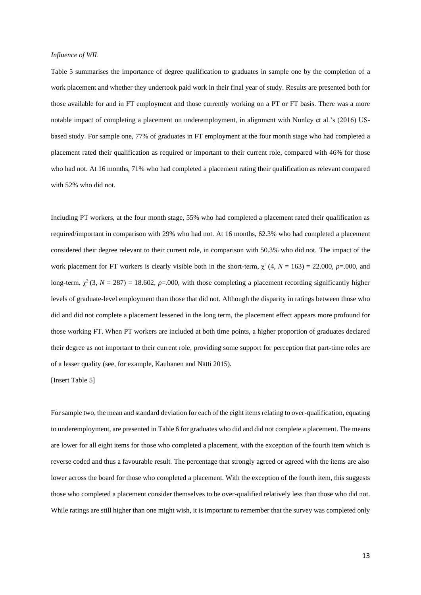#### *Influence of WIL*

Table 5 summarises the importance of degree qualification to graduates in sample one by the completion of a work placement and whether they undertook paid work in their final year of study. Results are presented both for those available for and in FT employment and those currently working on a PT or FT basis. There was a more notable impact of completing a placement on underemployment, in alignment with Nunley et al.'s (2016) USbased study. For sample one, 77% of graduates in FT employment at the four month stage who had completed a placement rated their qualification as required or important to their current role, compared with 46% for those who had not. At 16 months, 71% who had completed a placement rating their qualification as relevant compared with 52% who did not.

Including PT workers, at the four month stage, 55% who had completed a placement rated their qualification as required/important in comparison with 29% who had not. At 16 months, 62.3% who had completed a placement considered their degree relevant to their current role, in comparison with 50.3% who did not. The impact of the work placement for FT workers is clearly visible both in the short-term,  $\chi^2(4, N = 163) = 22.000, p = .000,$  and long-term,  $\chi^2$  (3,  $N = 287$ ) = 18.602,  $p=0.00$ , with those completing a placement recording significantly higher levels of graduate-level employment than those that did not. Although the disparity in ratings between those who did and did not complete a placement lessened in the long term, the placement effect appears more profound for those working FT. When PT workers are included at both time points, a higher proportion of graduates declared their degree as not important to their current role, providing some support for perception that part-time roles are of a lesser quality (see, for example, Kauhanen and Nätti 2015).

[Insert Table 5]

For sample two, the mean and standard deviation for each of the eight items relating to over-qualification, equating to underemployment, are presented in Table 6 for graduates who did and did not complete a placement. The means are lower for all eight items for those who completed a placement, with the exception of the fourth item which is reverse coded and thus a favourable result. The percentage that strongly agreed or agreed with the items are also lower across the board for those who completed a placement. With the exception of the fourth item, this suggests those who completed a placement consider themselves to be over-qualified relatively less than those who did not. While ratings are still higher than one might wish, it is important to remember that the survey was completed only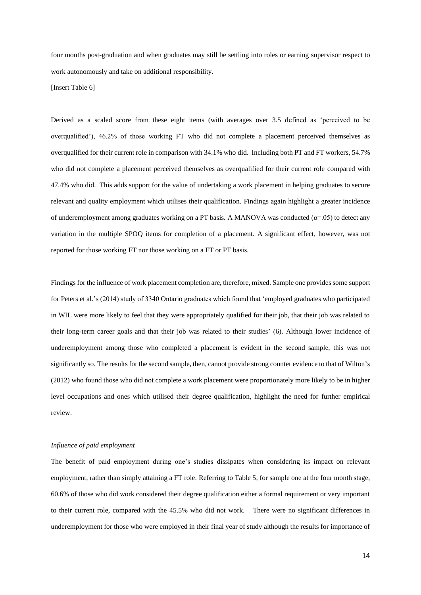four months post-graduation and when graduates may still be settling into roles or earning supervisor respect to work autonomously and take on additional responsibility.

[Insert Table 6]

Derived as a scaled score from these eight items (with averages over 3.5 defined as 'perceived to be overqualified'), 46.2% of those working FT who did not complete a placement perceived themselves as overqualified for their current role in comparison with 34.1% who did. Including both PT and FT workers, 54.7% who did not complete a placement perceived themselves as overqualified for their current role compared with 47.4% who did. This adds support for the value of undertaking a work placement in helping graduates to secure relevant and quality employment which utilises their qualification. Findings again highlight a greater incidence of underemployment among graduates working on a PT basis. A MANOVA was conducted  $(\alpha = .05)$  to detect any variation in the multiple SPOQ items for completion of a placement. A significant effect, however, was not reported for those working FT nor those working on a FT or PT basis.

Findings for the influence of work placement completion are, therefore, mixed. Sample one provides some support for Peters et al.'s (2014) study of 3340 Ontario graduates which found that 'employed graduates who participated in WIL were more likely to feel that they were appropriately qualified for their job, that their job was related to their long-term career goals and that their job was related to their studies' (6). Although lower incidence of underemployment among those who completed a placement is evident in the second sample, this was not significantly so. The results for the second sample, then, cannot provide strong counter evidence to that of Wilton's (2012) who found those who did not complete a work placement were proportionately more likely to be in higher level occupations and ones which utilised their degree qualification, highlight the need for further empirical review.

## *Influence of paid employment*

The benefit of paid employment during one's studies dissipates when considering its impact on relevant employment, rather than simply attaining a FT role. Referring to Table 5, for sample one at the four month stage, 60.6% of those who did work considered their degree qualification either a formal requirement or very important to their current role, compared with the 45.5% who did not work. There were no significant differences in underemployment for those who were employed in their final year of study although the results for importance of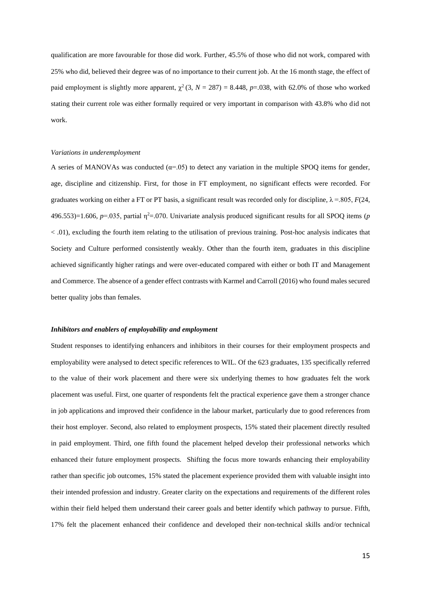qualification are more favourable for those did work. Further, 45.5% of those who did not work, compared with 25% who did, believed their degree was of no importance to their current job. At the 16 month stage, the effect of paid employment is slightly more apparent,  $\chi^2$  (3, *N* = 287) = 8.448, *p*=.038, with 62.0% of those who worked stating their current role was either formally required or very important in comparison with 43.8% who did not work.

#### *Variations in underemployment*

A series of MANOVAs was conducted ( $\alpha$ =.05) to detect any variation in the multiple SPOO items for gender, age, discipline and citizenship. First, for those in FT employment, no significant effects were recorded. For graduates working on either a FT or PT basis, a significant result was recorded only for discipline,  $\lambda = 805$ ,  $F(24)$ ,  $496.553$ )=1.606,  $p=0.035$ , partial  $\eta^2$ =.070. Univariate analysis produced significant results for all SPOQ items (*p* < .01), excluding the fourth item relating to the utilisation of previous training. Post-hoc analysis indicates that Society and Culture performed consistently weakly. Other than the fourth item, graduates in this discipline achieved significantly higher ratings and were over-educated compared with either or both IT and Management and Commerce. The absence of a gender effect contrasts with Karmel and Carroll (2016) who found males secured better quality jobs than females.

# *Inhibitors and enablers of employability and employment*

Student responses to identifying enhancers and inhibitors in their courses for their employment prospects and employability were analysed to detect specific references to WIL. Of the 623 graduates, 135 specifically referred to the value of their work placement and there were six underlying themes to how graduates felt the work placement was useful. First, one quarter of respondents felt the practical experience gave them a stronger chance in job applications and improved their confidence in the labour market, particularly due to good references from their host employer. Second, also related to employment prospects, 15% stated their placement directly resulted in paid employment. Third, one fifth found the placement helped develop their professional networks which enhanced their future employment prospects. Shifting the focus more towards enhancing their employability rather than specific job outcomes, 15% stated the placement experience provided them with valuable insight into their intended profession and industry. Greater clarity on the expectations and requirements of the different roles within their field helped them understand their career goals and better identify which pathway to pursue. Fifth, 17% felt the placement enhanced their confidence and developed their non-technical skills and/or technical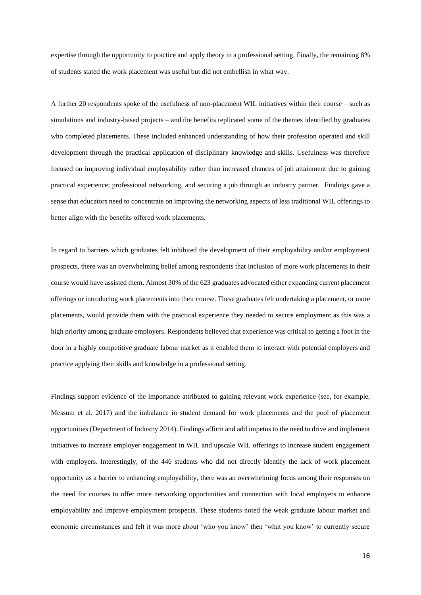expertise through the opportunity to practice and apply theory in a professional setting. Finally, the remaining 8% of students stated the work placement was useful but did not embellish in what way.

A further 20 respondents spoke of the usefulness of non-placement WIL initiatives within their course – such as simulations and industry-based projects – and the benefits replicated some of the themes identified by graduates who completed placements. These included enhanced understanding of how their profession operated and skill development through the practical application of disciplinary knowledge and skills. Usefulness was therefore focused on improving individual employability rather than increased chances of job attainment due to gaining practical experience; professional networking, and securing a job through an industry partner. Findings gave a sense that educators need to concentrate on improving the networking aspects of less traditional WIL offerings to better align with the benefits offered work placements.

In regard to barriers which graduates felt inhibited the development of their employability and/or employment prospects, there was an overwhelming belief among respondents that inclusion of more work placements in their course would have assisted them. Almost 30% of the 623 graduates advocated either expanding current placement offerings or introducing work placements into their course. These graduates felt undertaking a placement, or more placements, would provide them with the practical experience they needed to secure employment as this was a high priority among graduate employers. Respondents believed that experience was critical to getting a foot in the door in a highly competitive graduate labour market as it enabled them to interact with potential employers and practice applying their skills and knowledge in a professional setting.

Findings support evidence of the importance attributed to gaining relevant work experience (see, for example, Messum et al. 2017) and the imbalance in student demand for work placements and the pool of placement opportunities (Department of Industry 2014). Findings affirm and add impetus to the need to drive and implement initiatives to increase employer engagement in WIL and upscale WIL offerings to increase student engagement with employers. Interestingly, of the 446 students who did not directly identify the lack of work placement opportunity as a barrier to enhancing employability, there was an overwhelming focus among their responses on the need for courses to offer more networking opportunities and connection with local employers to enhance employability and improve employment prospects. These students noted the weak graduate labour market and economic circumstances and felt it was more about 'who you know' then 'what you know' to currently secure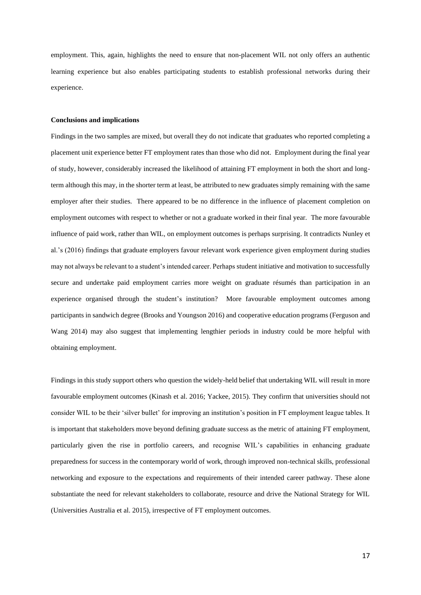employment. This, again, highlights the need to ensure that non-placement WIL not only offers an authentic learning experience but also enables participating students to establish professional networks during their experience.

#### **Conclusions and implications**

Findings in the two samples are mixed, but overall they do not indicate that graduates who reported completing a placement unit experience better FT employment rates than those who did not. Employment during the final year of study, however, considerably increased the likelihood of attaining FT employment in both the short and longterm although this may, in the shorter term at least, be attributed to new graduates simply remaining with the same employer after their studies. There appeared to be no difference in the influence of placement completion on employment outcomes with respect to whether or not a graduate worked in their final year. The more favourable influence of paid work, rather than WIL, on employment outcomes is perhaps surprising. It contradicts Nunley et al.'s (2016) findings that graduate employers favour relevant work experience given employment during studies may not always be relevant to a student's intended career. Perhaps student initiative and motivation to successfully secure and undertake paid employment carries more weight on graduate résumés than participation in an experience organised through the student's institution? More favourable employment outcomes among participants in sandwich degree (Brooks and Youngson 2016) and cooperative education programs (Ferguson and Wang 2014) may also suggest that implementing lengthier periods in industry could be more helpful with obtaining employment.

Findings in this study support others who question the widely-held belief that undertaking WIL will result in more favourable employment outcomes (Kinash et al. 2016; Yackee, 2015). They confirm that universities should not consider WIL to be their 'silver bullet' for improving an institution's position in FT employment league tables. It is important that stakeholders move beyond defining graduate success as the metric of attaining FT employment, particularly given the rise in portfolio careers, and recognise WIL's capabilities in enhancing graduate preparedness for success in the contemporary world of work, through improved non-technical skills, professional networking and exposure to the expectations and requirements of their intended career pathway. These alone substantiate the need for relevant stakeholders to collaborate, resource and drive the National Strategy for WIL (Universities Australia et al. 2015), irrespective of FT employment outcomes.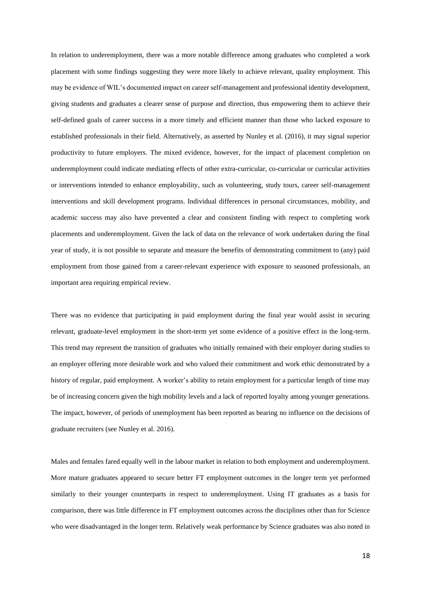In relation to underemployment, there was a more notable difference among graduates who completed a work placement with some findings suggesting they were more likely to achieve relevant, quality employment. This may be evidence of WIL's documented impact on career self-management and professional identity development, giving students and graduates a clearer sense of purpose and direction, thus empowering them to achieve their self-defined goals of career success in a more timely and efficient manner than those who lacked exposure to established professionals in their field. Alternatively, as asserted by Nunley et al. (2016), it may signal superior productivity to future employers. The mixed evidence, however, for the impact of placement completion on underemployment could indicate mediating effects of other extra-curricular, co-curricular or curricular activities or interventions intended to enhance employability, such as volunteering, study tours, career self-management interventions and skill development programs. Individual differences in personal circumstances, mobility, and academic success may also have prevented a clear and consistent finding with respect to completing work placements and underemployment. Given the lack of data on the relevance of work undertaken during the final year of study, it is not possible to separate and measure the benefits of demonstrating commitment to (any) paid employment from those gained from a career-relevant experience with exposure to seasoned professionals, an important area requiring empirical review.

There was no evidence that participating in paid employment during the final year would assist in securing relevant, graduate-level employment in the short-term yet some evidence of a positive effect in the long-term. This trend may represent the transition of graduates who initially remained with their employer during studies to an employer offering more desirable work and who valued their commitment and work ethic demonstrated by a history of regular, paid employment. A worker's ability to retain employment for a particular length of time may be of increasing concern given the high mobility levels and a lack of reported loyalty among younger generations. The impact, however, of periods of unemployment has been reported as bearing no influence on the decisions of graduate recruiters (see Nunley et al. 2016).

Males and females fared equally well in the labour market in relation to both employment and underemployment. More mature graduates appeared to secure better FT employment outcomes in the longer term yet performed similarly to their younger counterparts in respect to underemployment. Using IT graduates as a basis for comparison, there was little difference in FT employment outcomes across the disciplines other than for Science who were disadvantaged in the longer term. Relatively weak performance by Science graduates was also noted in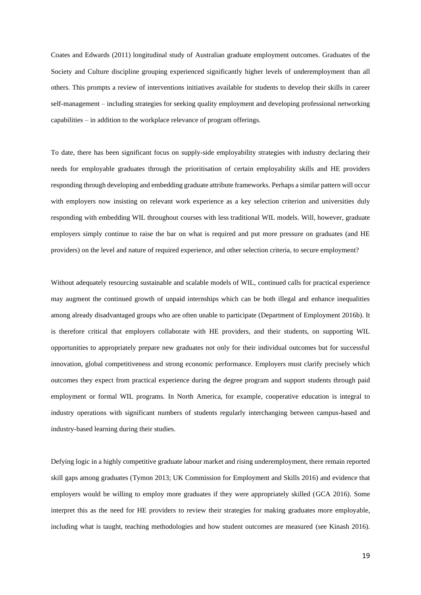Coates and Edwards (2011) longitudinal study of Australian graduate employment outcomes. Graduates of the Society and Culture discipline grouping experienced significantly higher levels of underemployment than all others. This prompts a review of interventions initiatives available for students to develop their skills in career self-management – including strategies for seeking quality employment and developing professional networking capabilities – in addition to the workplace relevance of program offerings.

To date, there has been significant focus on supply-side employability strategies with industry declaring their needs for employable graduates through the prioritisation of certain employability skills and HE providers responding through developing and embedding graduate attribute frameworks. Perhaps a similar pattern will occur with employers now insisting on relevant work experience as a key selection criterion and universities duly responding with embedding WIL throughout courses with less traditional WIL models. Will, however, graduate employers simply continue to raise the bar on what is required and put more pressure on graduates (and HE providers) on the level and nature of required experience, and other selection criteria, to secure employment?

Without adequately resourcing sustainable and scalable models of WIL, continued calls for practical experience may augment the continued growth of unpaid internships which can be both illegal and enhance inequalities among already disadvantaged groups who are often unable to participate (Department of Employment 2016b). It is therefore critical that employers collaborate with HE providers, and their students, on supporting WIL opportunities to appropriately prepare new graduates not only for their individual outcomes but for successful innovation, global competitiveness and strong economic performance. Employers must clarify precisely which outcomes they expect from practical experience during the degree program and support students through paid employment or formal WIL programs. In North America, for example, cooperative education is integral to industry operations with significant numbers of students regularly interchanging between campus-based and industry-based learning during their studies.

Defying logic in a highly competitive graduate labour market and rising underemployment, there remain reported skill gaps among graduates (Tymon 2013; UK Commission for Employment and Skills 2016) and evidence that employers would be willing to employ more graduates if they were appropriately skilled (GCA 2016). Some interpret this as the need for HE providers to review their strategies for making graduates more employable, including what is taught, teaching methodologies and how student outcomes are measured (see Kinash 2016).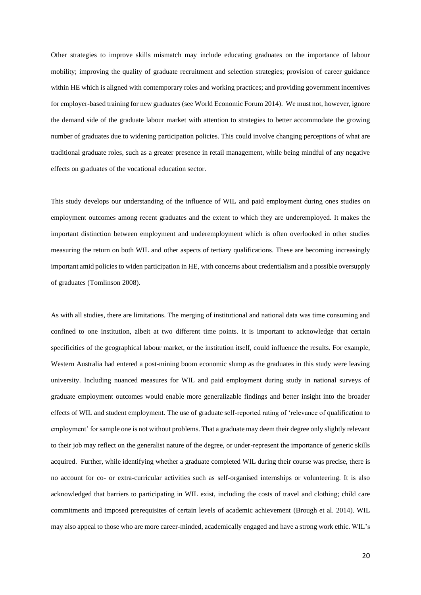Other strategies to improve skills mismatch may include educating graduates on the importance of labour mobility; improving the quality of graduate recruitment and selection strategies; provision of career guidance within HE which is aligned with contemporary roles and working practices; and providing government incentives for employer-based training for new graduates (see World Economic Forum 2014). We must not, however, ignore the demand side of the graduate labour market with attention to strategies to better accommodate the growing number of graduates due to widening participation policies. This could involve changing perceptions of what are traditional graduate roles, such as a greater presence in retail management, while being mindful of any negative effects on graduates of the vocational education sector.

This study develops our understanding of the influence of WIL and paid employment during ones studies on employment outcomes among recent graduates and the extent to which they are underemployed. It makes the important distinction between employment and underemployment which is often overlooked in other studies measuring the return on both WIL and other aspects of tertiary qualifications. These are becoming increasingly important amid policies to widen participation in HE, with concerns about credentialism and a possible oversupply of graduates (Tomlinson 2008).

As with all studies, there are limitations. The merging of institutional and national data was time consuming and confined to one institution, albeit at two different time points. It is important to acknowledge that certain specificities of the geographical labour market, or the institution itself, could influence the results. For example, Western Australia had entered a post-mining boom economic slump as the graduates in this study were leaving university. Including nuanced measures for WIL and paid employment during study in national surveys of graduate employment outcomes would enable more generalizable findings and better insight into the broader effects of WIL and student employment. The use of graduate self-reported rating of 'relevance of qualification to employment' for sample one is not without problems. That a graduate may deem their degree only slightly relevant to their job may reflect on the generalist nature of the degree, or under-represent the importance of generic skills acquired. Further, while identifying whether a graduate completed WIL during their course was precise, there is no account for co- or extra-curricular activities such as self-organised internships or volunteering. It is also acknowledged that barriers to participating in WIL exist, including the costs of travel and clothing; child care commitments and imposed prerequisites of certain levels of academic achievement (Brough et al. 2014). WIL may also appeal to those who are more career-minded, academically engaged and have a strong work ethic. WIL's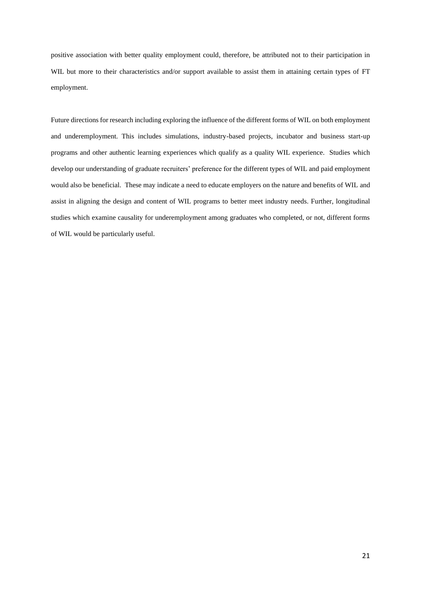positive association with better quality employment could, therefore, be attributed not to their participation in WIL but more to their characteristics and/or support available to assist them in attaining certain types of FT employment.

Future directions for research including exploring the influence of the different forms of WIL on both employment and underemployment. This includes simulations, industry-based projects, incubator and business start-up programs and other authentic learning experiences which qualify as a quality WIL experience. Studies which develop our understanding of graduate recruiters' preference for the different types of WIL and paid employment would also be beneficial. These may indicate a need to educate employers on the nature and benefits of WIL and assist in aligning the design and content of WIL programs to better meet industry needs. Further, longitudinal studies which examine causality for underemployment among graduates who completed, or not, different forms of WIL would be particularly useful.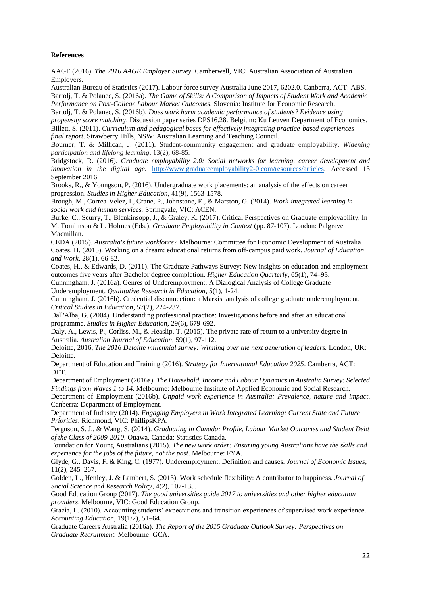# **References**

AAGE (2016). *The 2016 AAGE Employer Survey*. Camberwell, VIC: Australian Association of Australian Employers.

Australian Bureau of Statistics (2017). Labour force survey Australia June 2017, 6202.0. Canberra, ACT: ABS. Bartolj, T. & Polanec, S. (2016a). *The Game of Skills: A Comparison of Impacts of Student Work and Academic* 

*Performance on Post-College Labour Market Outcomes*. Slovenia: Institute for Economic Research. Bartolj, T. & Polanec, S. (2016b). *Does work harm academic performance of students? Evidence using* 

*propensity score matching*. Discussion paper series DPS16.28. Belgium: Ku Leuven Department of Economics. Billett, S. (2011). *Curriculum and pedagogical bases for effectively integrating practice-based experiences – final report*. Strawberry Hills, NSW: Australian Learning and Teaching Council.

Bourner, T. & Millican, J. (2011). Student-community engagement and graduate employability. *Widening participation and lifelong learning*, 13(2), 68-85.

Bridgstock, R. (2016). *Graduate employability 2.0: Social networks for learning, career development and innovation in the digital age.* [http://www.graduateemployability2-0.com/resources/articles.](http://www.graduateemployability2-0.com/resources/articles) Accessed 13 September 2016.

Brooks, R., & Youngson, P. (2016). Undergraduate work placements: an analysis of the effects on career progression. *Studies in Higher Education*, 41(9), 1563-1578.

Brough, M., Correa-Velez, I., Crane, P., Johnstone, E., & Marston, G. (2014). *Work-integrated learning in social work and human services.* Springvale, VIC: ACEN.

Burke, C., Scurry, T., Blenkinsopp, J., & Graley, K. (2017). Critical Perspectives on Graduate employability. In M. Tomlinson & L. Holmes (Eds.), *Graduate Employability in Context* (pp. 87-107). London: Palgrave Macmillan.

CEDA (2015). *Australia's future workforce?* Melbourne: Committee for Economic Development of Australia. Coates, H. (2015). Working on a dream: educational returns from off-campus paid work. *Journal of Education and Work*, 28(1), 66-82.

Coates, H., & Edwards, D. (2011). The Graduate Pathways Survey: New insights on education and employment outcomes five years after Bachelor degree completion. *Higher Education Quarterly*, 65(1), 74–93.

Cunningham, J. (2016a). Genres of Underemployment: A Dialogical Analysis of College Graduate Underemployment. *Qualitative Research in Education,* 5(1), 1-24.

Cunningham, J. (2016b). Credential disconnection: a Marxist analysis of college graduate underemployment. *Critical Studies in Education*, 57(2), 224-237.

Dall'Alba, G. (2004). Understanding professional practice: Investigations before and after an educational programme. *Studies in Higher Education*, 29(6), 679-692.

Daly, A., Lewis, P., Corliss, M., & Heaslip, T. (2015). The private rate of return to a university degree in Australia. *Australian Journal of Education*, 59(1), 97-112.

Deloitte, 2016, *The 2016 Deloitte millennial survey: Winning over the next generation of leaders.* London, UK: Deloitte.

Department of Education and Training (2016). *Strategy for International Education 2025*. Camberra, ACT: DET.

Department of Employment (2016a). *The Household, Income and Labour Dynamics in Australia Survey: Selected Findings from Waves 1 to 14*. Melbourne: Melbourne Institute of Applied Economic and Social Research.

Department of Employment (2016b). *Unpaid work experience in Australia: Prevalence, nature and impact*. Canberra: Department of Employment.

Department of Industry (2014). *Engaging Employers in Work Integrated Learning: Current State and Future Priorities*. Richmond, VIC: PhillipsKPA.

Ferguson, S. J., & Wang, S. (2014). *Graduating in Canada: Profile, Labour Market Outcomes and Student Debt of the Class of 2009-2010*. Ottawa, Canada: Statistics Canada.

Foundation for Young Australians (2015). *The new work order: Ensuring young Australians have the skills and experience for the jobs of the future, not the past*. Melbourne: FYA.

Glyde, G., Davis, F. & King, C. (1977). Underemployment: Definition and causes. *Journal of Economic Issues*, 11(2), 245–267.

Golden, L., Henley, J. & Lambert, S. (2013). Work schedule flexibility: A contributor to happiness. *Journal of Social Science and Research Policy*, 4(2), 107-135.

Good Education Group (2017). *The good universities guide 2017 to universities and other higher education providers*. Melbourne, VIC: Good Education Group.

Gracia, L. (2010). Accounting students' expectations and transition experiences of supervised work experience. *Accounting Education*, 19(1/2), 51–64.

Graduate Careers Australia (2016a). *The Report of the 2015 Graduate Outlook Survey: Perspectives on Graduate Recruitment.* Melbourne: GCA.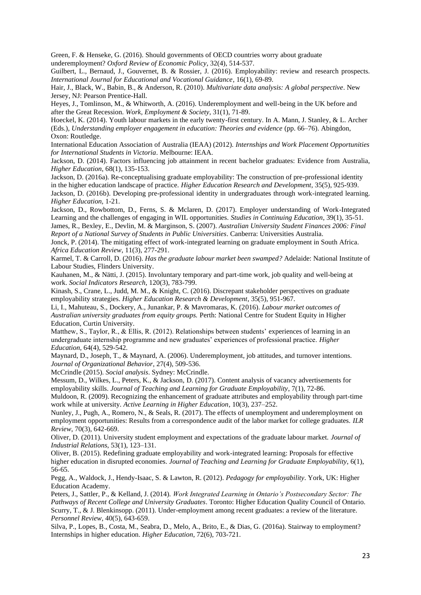Green, F. & Henseke, G. (2016). Should governments of OECD countries worry about graduate underemployment? *Oxford Review of Economic Policy*, 32(4), 514-537.

Guilbert, L., Bernaud, J., Gouvernet, B. & Rossier, J. (2016). Employability: review and research prospects. *International Journal for Educational and Vocational Guidance*, 16(1), 69-89.

Hair, J., Black, W., Babin, B., & Anderson, R. (2010). *Multivariate data analysis: A global perspective*. New Jersey, NJ: Pearson Prentice-Hall.

Heyes, J., Tomlinson, M., & Whitworth, A. (2016). Underemployment and well-being in the UK before and after the Great Recession. *Work, Employment & Society*, 31(1), 71-89.

Hoeckel, K. (2014). Youth labour markets in the early twenty-first century. In A. Mann, J. Stanley, & L. Archer (Eds.), *Understanding employer engagement in education: Theories and evidence* (pp. 66–76). Abingdon, Oxon: Routledge.

International Education Association of Australia (IEAA) (2012). *Internships and Work Placement Opportunities for International Students in Victoria*. Melbourne: IEAA.

Jackson, D. (2014). Factors influencing job attainment in recent bachelor graduates: Evidence from Australia, *Higher Education*, 68(1), 135-153.

Jackson, D. (2016a). Re-conceptualising graduate employability: The construction of pre-professional identity in the higher education landscape of practice. *Higher Education Research and Development*, 35(5), 925-939. Jackson, D. (2016b). Developing pre-professional identity in undergraduates through work-integrated learning. *Higher Education,* 1-21.

Jackson, D., Rowbottom, D., Ferns, S. & Mclaren, D. (2017). Employer understanding of Work-Integrated Learning and the challenges of engaging in WIL opportunities. *Studies in Continuing Education*, 39(1), 35-51. James, R., Bexley, E., Devlin, M. & Marginson, S. (2007). *Australian University Student Finances 2006: Final* 

*Report of a National Survey of Students in Public Universities*. Canberra: Universities Australia.

Jonck, P. (2014). The mitigating effect of work-integrated learning on graduate employment in South Africa. *Africa Education Review*, 11(3), 277-291.

Karmel, T. & Carroll, D. (2016). *Has the graduate labour market been swamped?* Adelaide: National Institute of Labour Studies, Flinders University.

Kauhanen, M., & Nätti, J. (2015). Involuntary temporary and part-time work, job quality and well-being at work. *Social Indicators Research*, 120(3), 783-799.

Kinash, S., Crane, L., Judd, M. M., & Knight, C. (2016). Discrepant stakeholder perspectives on graduate employability strategies. *Higher Education Research & Development*, 35(5), 951-967.

Li, I., Mahuteau, S., Dockery, A., Junankar, P. & Mavromaras, K. (2016). *Labour market outcomes of Australian university graduates from equity groups.* Perth: National Centre for Student Equity in Higher Education, Curtin University.

Matthew, S., Taylor, R., & Ellis, R. (2012). Relationships between students' experiences of learning in an undergraduate internship programme and new graduates' experiences of professional practice. *Higher Education*, 64(4), 529-542.

Maynard, D., Joseph, T., & Maynard, A. (2006). Underemployment, job attitudes, and turnover intentions. *Journal of Organizational Behavior*, 27(4), 509-536.

McCrindle (2015). *Social analysis*. Sydney: McCrindle.

Messum, D., Wilkes, L., Peters, K., & Jackson, D. (2017). Content analysis of vacancy advertisements for employability skills. *Journal of Teaching and Learning for Graduate Employability*, 7(1), 72-86.

Muldoon, R. (2009). Recognizing the enhancement of graduate attributes and employability through part-time work while at university. *Active Learning in Higher Education*, 10(3), 237–252.

Nunley, J., Pugh, A., Romero, N., & Seals, R. (2017). The effects of unemployment and underemployment on employment opportunities: Results from a correspondence audit of the labor market for college graduates. *ILR Review*, 70(3), 642-669.

Oliver, D. (2011). University student employment and expectations of the graduate labour market. *Journal of Industrial Relations*, 53(1), 123–131.

Oliver, B. (2015). Redefining graduate employability and work-integrated learning: Proposals for effective higher education in disrupted economies. *Journal of Teaching and Learning for Graduate Employability*, 6(1), 56-65.

Pegg, A., Waldock, J., Hendy-Isaac, S. & Lawton, R. (2012). *Pedagogy for employability*. York, UK: Higher Education Academy.

Peters, J., Sattler, P., & Kelland, J. (2014). *Work Integrated Learning in Ontario's Postsecondary Sector: The Pathways of Recent College and University Graduates*. Toronto: Higher Education Quality Council of Ontario. Scurry, T., & J. Blenkinsopp. (2011). Under-employment among recent graduates: a review of the literature. *Personnel Review*, 40(5), 643-659.

Silva, P., Lopes, B., Costa, M., Seabra, D., Melo, A., Brito, E., & Dias, G. (2016a). Stairway to employment? Internships in higher education. *Higher Education*, 72(6), 703-721.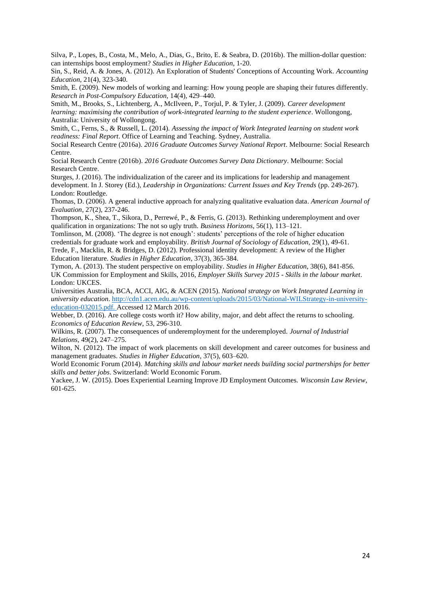Silva, P., Lopes, B., Costa, M., Melo, A., Dias, G., Brito, E. & Seabra, D. (2016b). The million-dollar question: can internships boost employment? *Studies in Higher Education*, 1-20.

Sin, S., Reid, A. & Jones, A. (2012). An Exploration of Students' Conceptions of Accounting Work. *Accounting Education*, 21(4), 323-340.

Smith, E. (2009). New models of working and learning: How young people are shaping their futures differently. *Research in Post-Compulsory Education*, 14(4), 429–440.

Smith, M., Brooks, S., Lichtenberg, A., McIlveen, P., Torjul, P. & Tyler, J. (2009). *Career development learning: maximising the contribution of work-integrated learning to the student experience*. Wollongong, Australia: University of Wollongong.

Smith, C., Ferns, S., & Russell, L. (2014). *Assessing the impact of Work Integrated learning on student work readiness: Final Report*. Office of Learning and Teaching. Sydney, Australia.

Social Research Centre (2016a). *2016 Graduate Outcomes Survey National Report*. Melbourne: Social Research Centre.

Social Research Centre (2016b). *2016 Graduate Outcomes Survey Data Dictionary*. Melbourne: Social Research Centre.

Sturges, J. (2016). The individualization of the career and its implications for leadership and management development. In J. Storey (Ed.), *Leadership in Organizations: Current Issues and Key Trends* (pp. 249-267). London: Routledge.

Thomas, D. (2006). A general inductive approach for analyzing qualitative evaluation data. *American Journal of Evaluation*, 27(2), 237-246.

Thompson, K., Shea, T., Sikora, D., Perrewé, P., & Ferris, G. (2013). Rethinking underemployment and over qualification in organizations: The not so ugly truth. *Business Horizons*, 56(1), 113–121.

Tomlinson, M. (2008). 'The degree is not enough': students' perceptions of the role of higher education credentials for graduate work and employability. *British Journal of Sociology of Education*, 29(1), 49-61. Trede, F., Macklin, R. & Bridges, D. (2012). Professional identity development: A review of the Higher

Education literature. *Studies in Higher Education*, 37(3), 365-384.

Tymon, A. (2013). The student perspective on employability. *Studies in Higher Education,* 38(6), 841-856. UK Commission for Employment and Skills, 2016, *Employer Skills Survey 2015 - Skills in the labour market*. London: UKCES.

Universities Australia, BCA, ACCI, AIG, & ACEN (2015). *National strategy on Work Integrated Learning in university education*. [http://cdn1.acen.edu.au/wp-content/uploads/2015/03/National-WILStrategy-in-university](http://cdn1.acen.edu.au/wp-content/uploads/2015/03/National-WILStrategy-in-university-education-032015.pdf)[education-032015.pdf.](http://cdn1.acen.edu.au/wp-content/uploads/2015/03/National-WILStrategy-in-university-education-032015.pdf) Accessed 12 March 2016.

Webber, D. (2016). Are college costs worth it? How ability, major, and debt affect the returns to schooling. *Economics of Education Review*, 53, 296-310.

Wilkins, R. (2007). The consequences of underemployment for the underemployed. *Journal of Industrial Relations*, 49(2), 247–275.

Wilton, N. (2012). The impact of work placements on skill development and career outcomes for business and management graduates. *Studies in Higher Education*, 37(5), 603–620.

World Economic Forum (2014). *Matching skills and labour market needs building social partnerships for better skills and better jobs*. Switzerland: World Economic Forum.

Yackee, J. W. (2015). Does Experiential Learning Improve JD Employment Outcomes. *Wisconsin Law Review*, 601-625.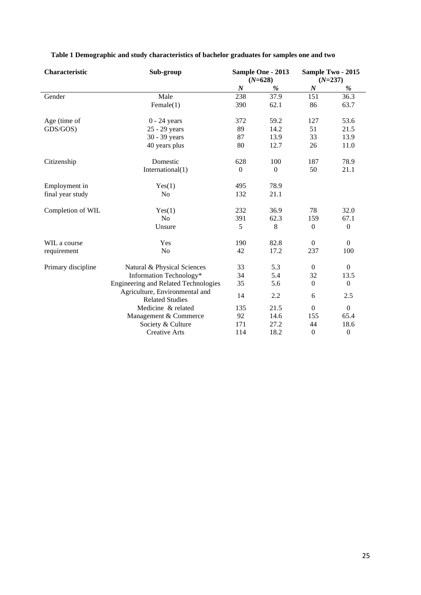| Characteristic     | Sub-group                                                |                  | Sample One - 2013 |                  | Sample Two - 2015 |
|--------------------|----------------------------------------------------------|------------------|-------------------|------------------|-------------------|
|                    |                                                          |                  | $(N=628)$         |                  | $(N=237)$         |
|                    |                                                          | $\boldsymbol{N}$ | %                 | $\boldsymbol{N}$ | $\%$              |
| Gender             | Male                                                     | 238              | 37.9              | 151              | 36.3              |
|                    | Female(1)                                                | 390              | 62.1              | 86               | 63.7              |
| Age (time of       | $0 - 24$ years                                           | 372              | 59.2              | 127              | 53.6              |
| GDS/GOS)           | 25 - 29 years                                            | 89               | 14.2              | 51               | 21.5              |
|                    | 30 - 39 years                                            | 87               | 13.9              | 33               | 13.9              |
|                    | 40 years plus                                            | 80               | 12.7              | 26               | 11.0              |
| Citizenship        | Domestic                                                 | 628              | 100               | 187              | 78.9              |
|                    | International $(1)$                                      | $\mathbf{0}$     | $\boldsymbol{0}$  | 50               | 21.1              |
| Employment in      | Yes(1)                                                   | 495              | 78.9              |                  |                   |
| final year study   | N <sub>o</sub>                                           | 132              | 21.1              |                  |                   |
| Completion of WIL  | Yes(1)                                                   | 232              | 36.9              | 78               | 32.0              |
|                    | N <sub>o</sub>                                           | 391              | 62.3              | 159              | 67.1              |
|                    | Unsure                                                   | 5                | 8                 | $\Omega$         | $\mathbf{0}$      |
| WIL a course       | Yes                                                      | 190              | 82.8              | $\mathbf{0}$     | $\overline{0}$    |
| requirement        | N <sub>o</sub>                                           | 42               | 17.2              | 237              | 100               |
| Primary discipline | Natural & Physical Sciences                              | 33               | 5.3               | $\mathbf{0}$     | $\overline{0}$    |
|                    | Information Technology*                                  | 34               | 5.4               | 32               | 13.5              |
|                    | <b>Engineering and Related Technologies</b>              | 35               | 5.6               | $\boldsymbol{0}$ | $\overline{0}$    |
|                    | Agriculture, Environmental and<br><b>Related Studies</b> | 14               | 2.2               | 6                | 2.5               |
|                    | Medicine & related                                       | 135              | 21.5              | $\boldsymbol{0}$ | $\boldsymbol{0}$  |
|                    | Management & Commerce                                    | 92               | 14.6              | 155              | 65.4              |
|                    | Society & Culture                                        | 171              | 27.2              | 44               | 18.6              |
|                    | <b>Creative Arts</b>                                     | 114              | 18.2              | $\boldsymbol{0}$ | $\boldsymbol{0}$  |

**Table 1 Demographic and study characteristics of bachelor graduates for samples one and two**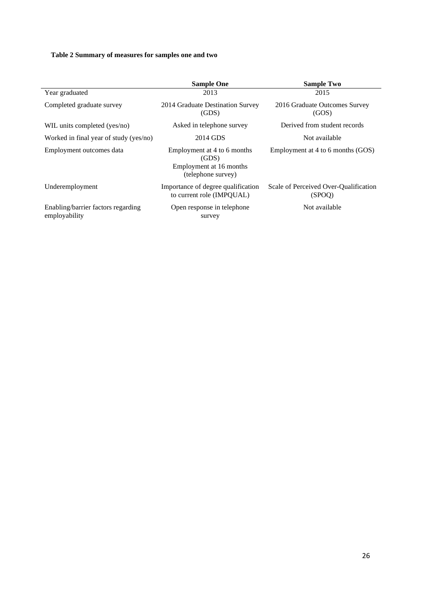# **Table 2 Summary of measures for samples one and two**

|                                                     | <b>Sample One</b>                                                                     | <b>Sample Two</b>                               |  |  |  |  |
|-----------------------------------------------------|---------------------------------------------------------------------------------------|-------------------------------------------------|--|--|--|--|
| Year graduated                                      | 2013                                                                                  | 2015                                            |  |  |  |  |
| Completed graduate survey                           | 2014 Graduate Destination Survey<br>(GDS)                                             | 2016 Graduate Outcomes Survey<br>(GOS)          |  |  |  |  |
| WIL units completed (yes/no)                        | Asked in telephone survey                                                             | Derived from student records                    |  |  |  |  |
| Worked in final year of study (yes/no)              | 2014 GDS                                                                              | Not available                                   |  |  |  |  |
| Employment outcomes data                            | Employment at 4 to 6 months<br>(GDS)<br>Employment at 16 months<br>(telephone survey) | Employment at 4 to 6 months (GOS)               |  |  |  |  |
| Underemployment                                     | Importance of degree qualification<br>to current role (IMPOUAL)                       | Scale of Perceived Over-Qualification<br>(SPOO) |  |  |  |  |
| Enabling/barrier factors regarding<br>employability | Open response in telephone<br>survey                                                  | Not available                                   |  |  |  |  |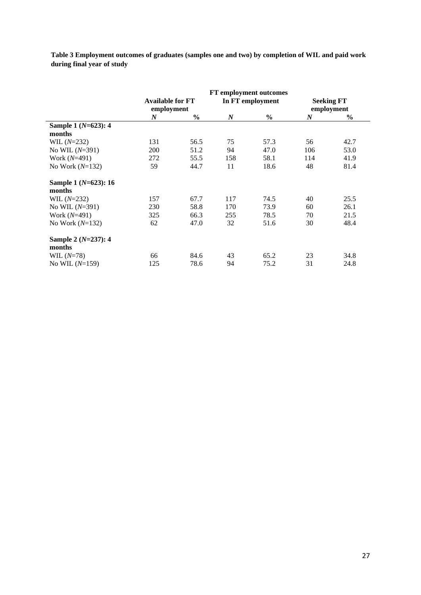**Table 3 Employment outcomes of graduates (samples one and two) by completion of WIL and paid work during final year of study**

|                      |                                       |               |                  | <b>FT</b> employment outcomes |                  |                                 |
|----------------------|---------------------------------------|---------------|------------------|-------------------------------|------------------|---------------------------------|
|                      | <b>Available for FT</b><br>employment |               |                  | In FT employment              |                  | <b>Seeking FT</b><br>employment |
|                      | $\boldsymbol{N}$                      | $\frac{6}{9}$ | $\boldsymbol{N}$ | $\frac{6}{9}$                 | $\boldsymbol{N}$ | $\frac{6}{6}$                   |
| Sample 1 (N=623): 4  |                                       |               |                  |                               |                  |                                 |
| months               |                                       |               |                  |                               |                  |                                 |
| WIL $(N=232)$        | 131                                   | 56.5          | 75               | 57.3                          | 56               | 42.7                            |
| No WIL $(N=391)$     | 200                                   | 51.2          | 94               | 47.0                          | 106              | 53.0                            |
| Work $(N=491)$       | 272                                   | 55.5          | 158              | 58.1                          | 114              | 41.9                            |
| No Work $(N=132)$    | 59                                    | 44.7          | 11               | 18.6                          | 48               | 81.4                            |
| Sample 1 (N=623): 16 |                                       |               |                  |                               |                  |                                 |
| months               |                                       |               |                  |                               |                  |                                 |
| WIL $(N=232)$        | 157                                   | 67.7          | 117              | 74.5                          | 40               | 25.5                            |
| No WIL $(N=391)$     | 230                                   | 58.8          | 170              | 73.9                          | 60               | 26.1                            |
| Work $(N=491)$       | 325                                   | 66.3          | 255              | 78.5                          | 70               | 21.5                            |
| No Work $(N=132)$    | 62                                    | 47.0          | 32               | 51.6                          | 30               | 48.4                            |
| Sample 2 (N=237): 4  |                                       |               |                  |                               |                  |                                 |
| months               |                                       |               |                  |                               |                  |                                 |
| WIL $(N=78)$         | 66                                    | 84.6          | 43               | 65.2                          | 23               | 34.8                            |
| No WIL $(N=159)$     | 125                                   | 78.6          | 94               | 75.2                          | 31               | 24.8                            |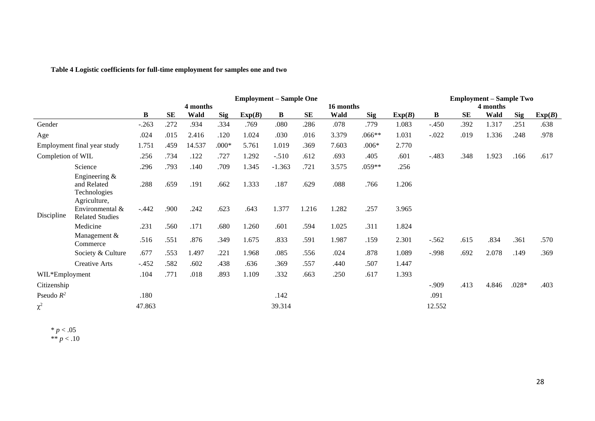|                   | <b>Employment – Sample One</b>                                  |                       |           |        |            |        |          |           |       |            |        | <b>Employment – Sample Two</b> |           |       |         |        |  |  |
|-------------------|-----------------------------------------------------------------|-----------------------|-----------|--------|------------|--------|----------|-----------|-------|------------|--------|--------------------------------|-----------|-------|---------|--------|--|--|
|                   |                                                                 | 4 months<br>16 months |           |        |            |        |          |           |       |            |        |                                | 4 months  |       |         |        |  |  |
|                   |                                                                 | B                     | <b>SE</b> | Wald   | <b>Sig</b> | Exp(B) | B        | <b>SE</b> | Wald  | <b>Sig</b> | Exp(B) | B                              | <b>SE</b> | Wald  | Sig     | Exp(B) |  |  |
| Gender            |                                                                 | $-.263$               | .272      | .934   | .334       | .769   | .080     | .286      | .078  | .779       | 1.083  | $-.450$                        | .392      | 1.317 | .251    | .638   |  |  |
| Age               |                                                                 | .024                  | .015      | 2.416  | .120       | 1.024  | .030     | .016      | 3.379 | $.066**$   | 1.031  | $-.022$                        | .019      | 1.336 | .248    | .978   |  |  |
|                   | Employment final year study                                     | 1.751                 | .459      | 14.537 | $.000*$    | 5.761  | 1.019    | .369      | 7.603 | $.006*$    | 2.770  |                                |           |       |         |        |  |  |
| Completion of WIL |                                                                 | .256                  | .734      | .122   | .727       | 1.292  | $-.510$  | .612      | .693  | .405       | .601   | $-.483$                        | .348      | 1.923 | .166    | .617   |  |  |
|                   | Science                                                         | .296                  | .793      | .140   | .709       | 1.345  | $-1.363$ | .721      | 3.575 | .059**     | .256   |                                |           |       |         |        |  |  |
|                   | Engineering $\&$<br>and Related<br>Technologies<br>Agriculture, | .288                  | .659      | .191   | .662       | 1.333  | .187     | .629      | .088  | .766       | 1.206  |                                |           |       |         |        |  |  |
| Discipline        | Environmental &<br><b>Related Studies</b>                       | $-.442$               | .900      | .242   | .623       | .643   | 1.377    | 1.216     | 1.282 | .257       | 3.965  |                                |           |       |         |        |  |  |
|                   | Medicine                                                        | .231                  | .560      | .171   | .680       | 1.260  | .601     | .594      | 1.025 | .311       | 1.824  |                                |           |       |         |        |  |  |
|                   | Management $&$<br>Commerce                                      | .516                  | .551      | .876   | .349       | 1.675  | .833     | .591      | 1.987 | .159       | 2.301  | $-.562$                        | .615      | .834  | .361    | .570   |  |  |
|                   | Society & Culture                                               | .677                  | .553      | 1.497  | .221       | 1.968  | .085     | .556      | .024  | .878       | 1.089  | $-.998$                        | .692      | 2.078 | .149    | .369   |  |  |
|                   | Creative Arts                                                   | $-.452$               | .582      | .602   | .438       | .636   | .369     | .557      | .440  | .507       | 1.447  |                                |           |       |         |        |  |  |
| WIL*Employment    |                                                                 | .104                  | .771      | .018   | .893       | 1.109  | .332     | .663      | .250  | .617       | 1.393  |                                |           |       |         |        |  |  |
| Citizenship       |                                                                 |                       |           |        |            |        |          |           |       |            |        | $-0.909$                       | .413      | 4.846 | $.028*$ | .403   |  |  |
| Pseudo $R^2$      |                                                                 | .180                  |           |        |            |        | .142     |           |       |            |        | .091                           |           |       |         |        |  |  |
| $\chi^2$          |                                                                 | 47.863                |           |        |            |        | 39.314   |           |       |            |        | 12.552                         |           |       |         |        |  |  |

# **Table 4 Logistic coefficients for full-time employment for samples one and two**

 $* p < .05$ \*\* *p* < .10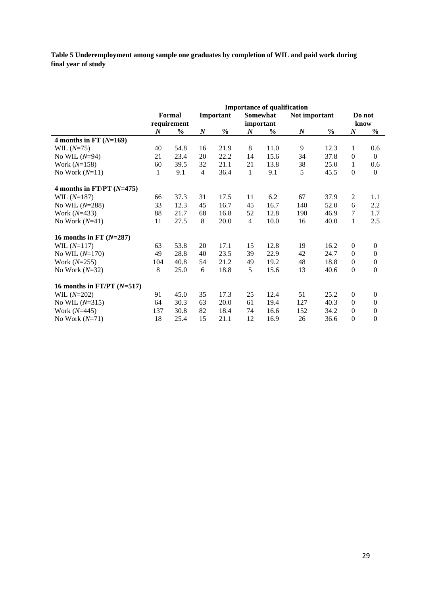**Table 5 Underemployment among sample one graduates by completion of WIL and paid work during final year of study**

|                              | <b>Importance of qualification</b> |               |                  |               |                  |               |                  |               |                  |                  |  |  |
|------------------------------|------------------------------------|---------------|------------------|---------------|------------------|---------------|------------------|---------------|------------------|------------------|--|--|
|                              |                                    | Formal        |                  | Important     |                  | Somewhat      | Not important    |               |                  | Do not           |  |  |
|                              |                                    | requirement   |                  |               |                  | important     |                  |               |                  | know             |  |  |
|                              | $\boldsymbol{N}$                   | $\frac{0}{0}$ | $\boldsymbol{N}$ | $\frac{0}{0}$ | $\boldsymbol{N}$ | $\frac{0}{0}$ | $\boldsymbol{N}$ | $\frac{0}{0}$ | $\boldsymbol{N}$ | $\frac{0}{0}$    |  |  |
| 4 months in FT $(N=169)$     |                                    |               |                  |               |                  |               |                  |               |                  |                  |  |  |
| WIL $(N=75)$                 | 40                                 | 54.8          | 16               | 21.9          | 8                | 11.0          | 9                | 12.3          | $\mathbf{1}$     | 0.6              |  |  |
| No WIL $(N=94)$              | 21                                 | 23.4          | 20               | 22.2          | 14               | 15.6          | 34               | 37.8          | $\mathbf{0}$     | $\mathbf{0}$     |  |  |
| Work $(N=158)$               | 60                                 | 39.5          | 32               | 21.1          | 21               | 13.8          | 38               | 25.0          | $\mathbf{1}$     | 0.6              |  |  |
| No Work $(N=11)$             | $\mathbf{1}$                       | 9.1           | $\overline{4}$   | 36.4          | $\mathbf{1}$     | 9.1           | 5                | 45.5          | $\Omega$         | $\mathbf{0}$     |  |  |
| 4 months in FT/PT $(N=475)$  |                                    |               |                  |               |                  |               |                  |               |                  |                  |  |  |
| WIL $(N=187)$                | 66                                 | 37.3          | 31               | 17.5          | 11               | 6.2           | 67               | 37.9          | $\overline{2}$   | 1.1              |  |  |
| No WIL $(N=288)$             | 33                                 | 12.3          | 45               | 16.7          | 45               | 16.7          | 140              | 52.0          | 6                | 2.2              |  |  |
| Work $(N=433)$               | 88                                 | 21.7          | 68               | 16.8          | 52               | 12.8          | 190              | 46.9          | 7                | 1.7              |  |  |
| No Work $(N=41)$             | 11                                 | 27.5          | 8                | 20.0          | $\overline{4}$   | 10.0          | 16               | 40.0          | $\mathbf{1}$     | 2.5              |  |  |
| 16 months in FT $(N=287)$    |                                    |               |                  |               |                  |               |                  |               |                  |                  |  |  |
| WIL $(N=117)$                | 63                                 | 53.8          | 20               | 17.1          | 15               | 12.8          | 19               | 16.2          | $\mathbf{0}$     | $\boldsymbol{0}$ |  |  |
| No WIL $(N=170)$             | 49                                 | 28.8          | 40               | 23.5          | 39               | 22.9          | 42               | 24.7          | $\mathbf{0}$     | $\boldsymbol{0}$ |  |  |
| Work $(N=255)$               | 104                                | 40.8          | 54               | 21.2          | 49               | 19.2          | 48               | 18.8          | $\Omega$         | $\boldsymbol{0}$ |  |  |
| No Work $(N=32)$             | 8                                  | 25.0          | 6                | 18.8          | 5                | 15.6          | 13               | 40.6          | $\Omega$         | $\boldsymbol{0}$ |  |  |
| 16 months in FT/PT $(N=517)$ |                                    |               |                  |               |                  |               |                  |               |                  |                  |  |  |
| WIL $(N=202)$                | 91                                 | 45.0          | 35               | 17.3          | 25               | 12.4          | 51               | 25.2          | $\boldsymbol{0}$ | $\boldsymbol{0}$ |  |  |
| No WIL $(N=315)$             | 64                                 | 30.3          | 63               | 20.0          | 61               | 19.4          | 127              | 40.3          | $\Omega$         | $\boldsymbol{0}$ |  |  |
| Work $(N=445)$               | 137                                | 30.8          | 82               | 18.4          | 74               | 16.6          | 152              | 34.2          | $\mathbf{0}$     | $\boldsymbol{0}$ |  |  |
| No Work $(N=71)$             | 18                                 | 25.4          | 15               | 21.1          | 12               | 16.9          | 26               | 36.6          | $\boldsymbol{0}$ | $\boldsymbol{0}$ |  |  |